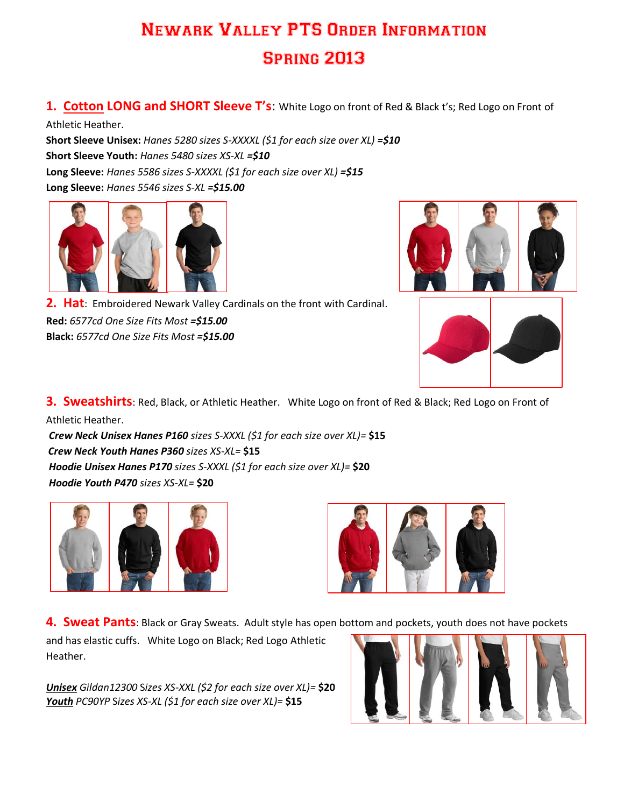## Newark Valley PTS Order Information Spring 2013

**1. Cotton LONG and SHORT Sleeve T's**: White Logo on front of Red & Black t's; Red Logo on Front of

Athletic Heather.

**Short Sleeve Unisex:** *Hanes 5280 sizes S-XXXXL (\$1 for each size over XL) =\$10* **Short Sleeve Youth:** *Hanes 5480 sizes XS-XL =\$10* **Long Sleeve:** *Hanes 5586 sizes S-XXXXL (\$1 for each size over XL) =\$15* **Long Sleeve:** *Hanes 5546 sizes S-XL =\$15.00*





**Red:** *6577cd One Size Fits Most =\$15.00* **Black:** *6577cd One Size Fits Most =\$15.00*



**3. Sweatshirts**: Red, Black, or Athletic Heather. White Logo on front of Red & Black; Red Logo on Front of Athletic Heather.

*Crew Neck Unisex Hanes P160 sizes S-XXXL (\$1 for each size over XL)=* **\$15** *Crew Neck Youth Hanes P360 sizes XS-XL=* **\$15** *Hoodie Unisex Hanes P170 sizes S-XXXL (\$1 for each size over XL)=* **\$20** *Hoodie Youth P470 sizes XS-XL=* **\$20**





**4. Sweat Pants**: Black or Gray Sweats. Adult style has open bottom and pockets, youth does not have pockets

and has elastic cuffs. White Logo on Black; Red Logo Athletic Heather.

*Unisex Gildan12300* S*izes XS-XXL (\$2 for each size over XL)=* **\$20** *Youth PC90YP* S*izes XS-XL (\$1 for each size over XL)=* **\$15**